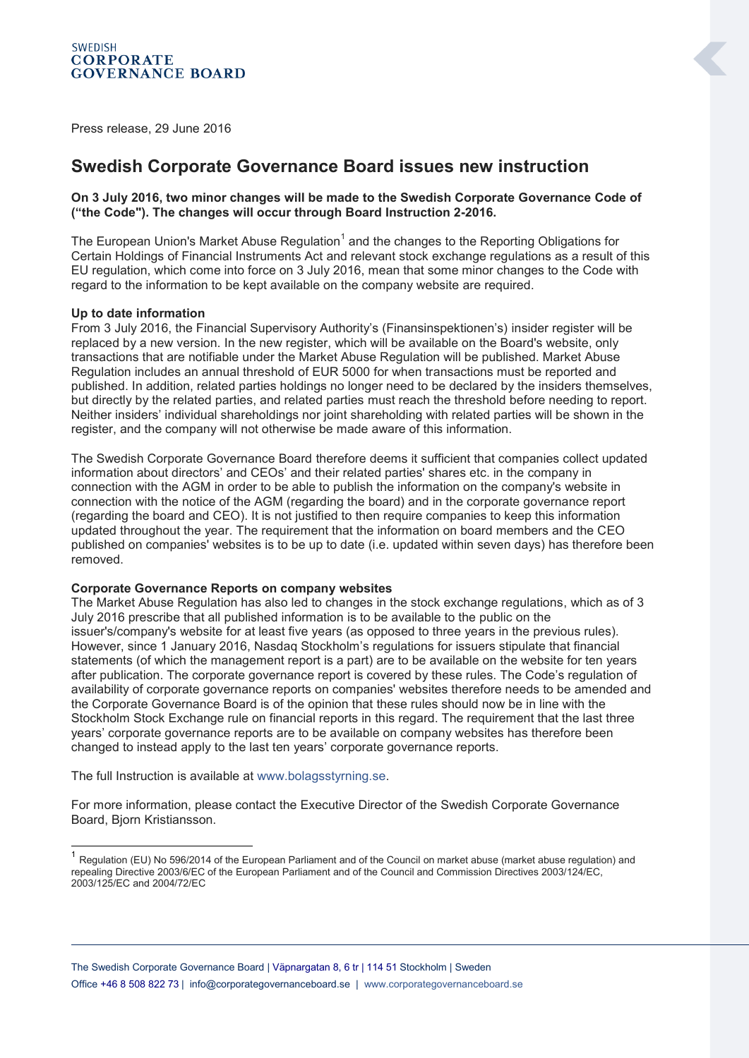Press release, 29 June 2016

## **Swedish Corporate Governance Board issues new instruction**

## **On 3 July 2016, two minor changes will be made to the Swedish Corporate Governance Code of ("the Code"). The changes will occur through Board Instruction 2-2016.**

The European Union's Market Abuse Regulation<sup>1</sup> and the changes to the Reporting Obligations for Certain Holdings of Financial Instruments Act and relevant stock exchange regulations as a result of this EU regulation, which come into force on 3 July 2016, mean that some minor changes to the Code with regard to the information to be kept available on the company website are required.

## **Up to date information**

From 3 July 2016, the Financial Supervisory Authority's (Finansinspektionen's) insider register will be replaced by a new version. In the new register, which will be available on the Board's website, only transactions that are notifiable under the Market Abuse Regulation will be published. Market Abuse Regulation includes an annual threshold of EUR 5000 for when transactions must be reported and published. In addition, related parties holdings no longer need to be declared by the insiders themselves, but directly by the related parties, and related parties must reach the threshold before needing to report. Neither insiders' individual shareholdings nor joint shareholding with related parties will be shown in the register, and the company will not otherwise be made aware of this information.

The Swedish Corporate Governance Board therefore deems it sufficient that companies collect updated information about directors' and CEOs' and their related parties' shares etc. in the company in connection with the AGM in order to be able to publish the information on the company's website in connection with the notice of the AGM (regarding the board) and in the corporate governance report (regarding the board and CEO). It is not justified to then require companies to keep this information updated throughout the year. The requirement that the information on board members and the CEO published on companies' websites is to be up to date (i.e. updated within seven days) has therefore been removed.

## **Corporate Governance Reports on company websites**

The Market Abuse Regulation has also led to changes in the stock exchange regulations, which as of 3 July 2016 prescribe that all published information is to be available to the public on the issuer's/company's website for at least five years (as opposed to three years in the previous rules). However, since 1 January 2016, Nasdaq Stockholm's regulations for issuers stipulate that financial statements (of which the management report is a part) are to be available on the website for ten years after publication. The corporate governance report is covered by these rules. The Code's regulation of availability of corporate governance reports on companies' websites therefore needs to be amended and the Corporate Governance Board is of the opinion that these rules should now be in line with the Stockholm Stock Exchange rule on financial reports in this regard. The requirement that the last three years' corporate governance reports are to be available on company websites has therefore been changed to instead apply to the last ten years' corporate governance reports.

The full Instruction is available at [www.bolagsstyrning.se.](http://www.bolagsstyrning.se/)

-

For more information, please contact the Executive Director of the Swedish Corporate Governance Board, Bjorn Kristiansson.

<sup>&</sup>lt;sup>1</sup> Regulation (EU) No 596/2014 of the European Parliament and of the Council on market abuse (market abuse regulation) and repealing Directive 2003/6/EC of the European Parliament and of the Council and Commission Directives 2003/124/EC, 2003/125/EC and 2004/72/EC